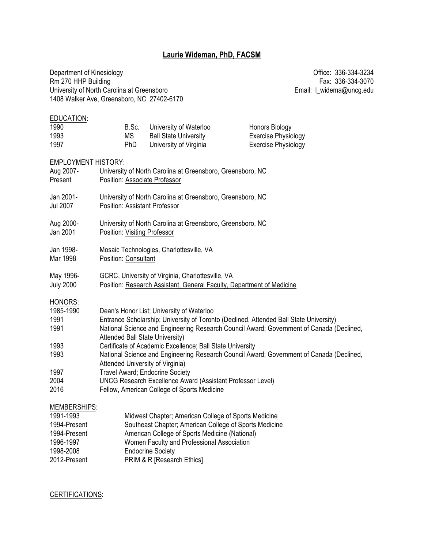# **Laurie Wideman, PhD, FACSM**

Department of Kinesiology **Department of Kinesiology CHI** Rm 270 HHP Building Fax: 336-334-3070<br>University of North Carolina at Greensboro **Fax: 336-334-3070** Email: I\_widema@uncg.edu University of North Carolina at Greensboro 1408 Walker Ave, Greensboro, NC 27402-6170

| EDUCATION:<br>1990         | B.Sc.                                  | University of Waterloo                                                | <b>Honors Biology</b>                                                                                                                                                              |  |
|----------------------------|----------------------------------------|-----------------------------------------------------------------------|------------------------------------------------------------------------------------------------------------------------------------------------------------------------------------|--|
| 1993                       | <b>MS</b>                              | <b>Ball State University</b>                                          | <b>Exercise Physiology</b>                                                                                                                                                         |  |
| 1997                       | PhD                                    | University of Virginia                                                | <b>Exercise Physiology</b>                                                                                                                                                         |  |
|                            |                                        |                                                                       |                                                                                                                                                                                    |  |
| <b>EMPLOYMENT HISTORY:</b> |                                        |                                                                       |                                                                                                                                                                                    |  |
| Aug 2007-<br>Present       | Position: Associate Professor          | University of North Carolina at Greensboro, Greensboro, NC            |                                                                                                                                                                                    |  |
|                            |                                        |                                                                       |                                                                                                                                                                                    |  |
| Jan 2001-                  |                                        | University of North Carolina at Greensboro, Greensboro, NC            |                                                                                                                                                                                    |  |
| <b>Jul 2007</b>            | <b>Position: Assistant Professor</b>   |                                                                       |                                                                                                                                                                                    |  |
| Aug 2000-                  |                                        | University of North Carolina at Greensboro, Greensboro, NC            |                                                                                                                                                                                    |  |
| Jan 2001                   | Position: Visiting Professor           |                                                                       |                                                                                                                                                                                    |  |
|                            |                                        |                                                                       |                                                                                                                                                                                    |  |
| Jan 1998-                  |                                        | Mosaic Technologies, Charlottesville, VA                              |                                                                                                                                                                                    |  |
| Mar 1998                   | Position: Consultant                   |                                                                       |                                                                                                                                                                                    |  |
| May 1996-                  |                                        | GCRC, University of Virginia, Charlottesville, VA                     |                                                                                                                                                                                    |  |
| <b>July 2000</b>           |                                        | Position: Research Assistant, General Faculty, Department of Medicine |                                                                                                                                                                                    |  |
|                            |                                        |                                                                       |                                                                                                                                                                                    |  |
| HONORS:                    |                                        |                                                                       |                                                                                                                                                                                    |  |
| 1985-1990                  |                                        | Dean's Honor List; University of Waterloo                             |                                                                                                                                                                                    |  |
| 1991<br>1991               |                                        |                                                                       | Entrance Scholarship; University of Toronto (Declined, Attended Ball State University)<br>National Science and Engineering Research Council Award; Government of Canada (Declined, |  |
|                            | <b>Attended Ball State University)</b> |                                                                       |                                                                                                                                                                                    |  |
| 1993                       |                                        | Certificate of Academic Excellence; Ball State University             |                                                                                                                                                                                    |  |
| 1993                       |                                        |                                                                       | National Science and Engineering Research Council Award; Government of Canada (Declined,                                                                                           |  |
|                            | Attended University of Virginia)       |                                                                       |                                                                                                                                                                                    |  |
| 1997                       | Travel Award; Endocrine Society        |                                                                       |                                                                                                                                                                                    |  |
| 2004                       |                                        | <b>UNCG Research Excellence Award (Assistant Professor Level)</b>     |                                                                                                                                                                                    |  |
| 2016                       |                                        | Fellow, American College of Sports Medicine                           |                                                                                                                                                                                    |  |
| MEMBERSHIPS:               |                                        |                                                                       |                                                                                                                                                                                    |  |
| 1991-1993                  |                                        | Midwest Chapter; American College of Sports Medicine                  |                                                                                                                                                                                    |  |
| 1994-Present               |                                        | Southeast Chapter; American College of Sports Medicine                |                                                                                                                                                                                    |  |
| 1994-Present               |                                        | American College of Sports Medicine (National)                        |                                                                                                                                                                                    |  |
| 1996-1997                  |                                        | Women Faculty and Professional Association                            |                                                                                                                                                                                    |  |
| 1998-2008                  |                                        | <b>Endocrine Society</b>                                              |                                                                                                                                                                                    |  |

2012-Present **PRIM & R [Research Ethics]** 

CERTIFICATIONS: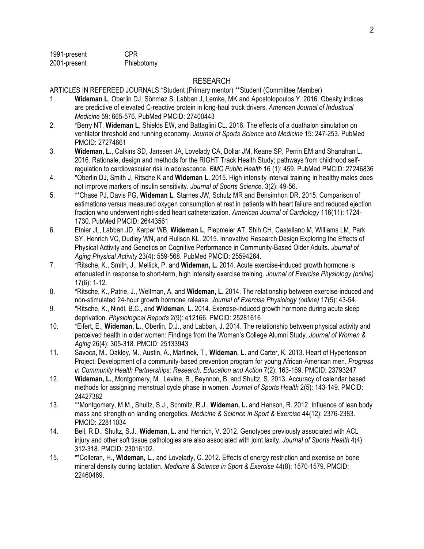1991-present CPR 2001-present Phlebotomy

### RESEARCH

ARTICLES IN REFEREED JOURNALS:\*Student (Primary mentor) \*\*Student (Committee Member)

- 1. **Wideman L**, Oberlin DJ, Sönmez S, Labban J, Lemke, MK and Apostolopoulos Y. 2016. Obesity indices are predictive of elevated C-reactive protein in long-haul truck drivers. *American Journal of Industrual Medicine* 59: 665-576. PubMed PMCID: 27400443
- 2. \*Berry NT, **Wideman L**, Shields EW, and Battaglini CL. 2016. The effects of a duathalon simulation on ventilator threshold and running economy. *Journal of Sports Science and Medicine* 15: 247-253. PubMed PMCID: 27274661
- 3. **Wideman, L.**, Calkins SD, Janssen JA, Lovelady CA, Dollar JM, Keane SP, Perrin EM and Shanahan L. 2016. Rationale, design and methods for the RIGHT Track Health Study; pathways from childhood selfregulation to cardiovascular risk in adolescence. *BMC Public Health* 16 (1): 459. PubMed PMCID: 27246836
- 4. \*Oberlin DJ, Smith J, Ritsche K and **Wideman L**. 2015. High intensity interval training in healthy males does not improve markers of insulin sensitivity. *Journal of Sports Science*. 3(2): 49-56.
- 5. \*\*Chase PJ, Davis PG, **Wideman L**, Starnes JW, Schulz MR and Bensimhon DR. 2015. Comparison of estimations versus measured oxygen consumption at rest in patients with heart failure and reduced ejection fraction who underwent right-sided heart catheterization. *American Journal of Cardiology* 116(11): 1724- 1730. PubMed PMCID: 26443561
- 6. Etnier JL, Labban JD, Karper WB, **Wideman L**, Piepmeier AT, Shih CH, Castellano M, Williams LM, Park SY, Henrich VC, Dudley WN, and Rulison KL. 2015. [Innovative Research Design Exploring the Effects of](http://www.ncbi.nlm.nih.gov/pubmed/25594264) [Physical Activity and Genetics on Cognitive Performance in Community-Based Older Adults.](http://www.ncbi.nlm.nih.gov/pubmed/25594264) *Journal of Aging Physical Activity* 23(4): 559-568. PubMed PMCID: 25594264.
- 7. \*Ritsche, K., Smith, J., Mellick, P. and **Wideman, L.** 2014. Acute exercise-induced growth hormone is attenuated in response to short-term, high intensity exercise training. *Journal of Exercise Physiology (online)*  17(6): 1-12.
- 8. \*Ritsche, K., Patrie, J., Weltman, A. and **Wideman, L.** 2014. The relationship between exercise-induced and non-stimulated 24-hour growth hormone release. *Journal of Exercise Physiology (online)* 17(5): 43-54.
- 9. \*Ritsche, K., Nindl, B.C., and **Wideman, L.** 2014. Exercise-induced growth hormone during acute sleep deprivation. *Physiological Reports* 2(9): e12166. PMCID: 25281616
- 10. \*Eifert, E., **Wideman, L.**, Oberlin, D.J., and Labban, J. 2014. The relationship between physical activity and perceived health in older women: Findings from the Woman's College Alumni Study. *Journal of Women & Aging* 26(4): 305-318. PMCID: 25133943
- 11. Savoca, M., Oakley, M., Austin, A., Martinek, T., **Wideman, L.** and Carter, K. 2013. Heart of Hypertension Project: Development of a community-based prevention program for young African-American men. *Progress in Community Health Partnerships: Research, Education and Action* 7(2): 163-169. PMCID: 23793247
- 12. **Wideman, L.**, Montgomery, M., Levine, B., Beynnon, B. and Shultz, S. 2013. Accuracy of calendar based methods for assigning menstrual cycle phase in women. *Journal of Sports Health* 2(5): 143-149. PMCID: 24427382
- 13. \*\*Montgomery, M.M., Shultz, S.J., Schmitz, R.J., **Wideman, L.** and Henson, R. 2012. Influence of lean body mass and strength on landing energetics. *Medicine & Science in Sport & Exercise* 44(12): 2376-2383. PMCID: 22811034
- 14. Bell, R.D., Shultz, S.J., **Wideman, L.** and Henrich, V. 2012. Genotypes previously associated with ACL injury and other soft tissue pathologies are also associated with joint laxity. *Journal of Sports Health* 4(4): 312-318. PMCID: 23016102.
- 15. \*\*Colleran, H., **Wideman, L.**, and Lovelady, C. 2012. Effects of energy restriction and exercise on bone mineral density during lactation. *Medicine & Science in Sport & Exercise* 44(8): 1570-1579. PMCID: 22460469.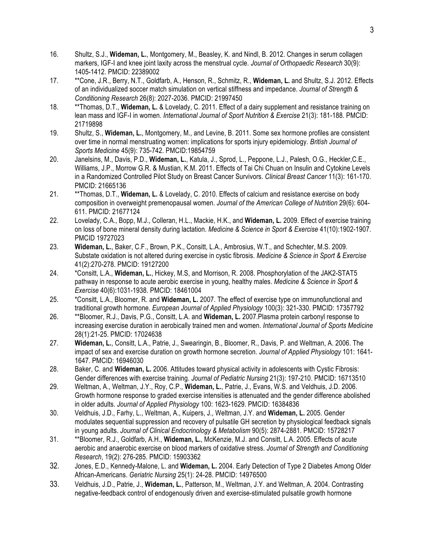- 16. Shultz, S.J., **Wideman, L.**, Montgomery, M., Beasley, K. and Nindl, B. 2012. Changes in serum collagen markers, IGF-I and knee joint laxity across the menstrual cycle. *Journal of Orthopaedic Research* 30(9): 1405-1412. PMCID: 22389002
- 17. \*\*Cone, J.R., Berry, N.T., Goldfarb, A., Henson, R., Schmitz, R., **Wideman, L.** and Shultz, S.J. 2012. Effects of an individualized soccer match simulation on vertical stiffness and impedance. *Journal of Strength & Conditioning Research* 26(8): 2027-2036. PMCID: 21997450
- 18. \*\*Thomas, D.T., **Wideman, L.** & Lovelady, C. 2011. Effect of a dairy supplement and resistance training on lean mass and IGF-I in women. *International Journal of Sport Nutrition & Exercise* 21(3): 181-188. PMCID: 21719898
- 19. Shultz, S., **Wideman, L.**, Montgomery, M., and Levine, B. 2011. Some sex hormone profiles are consistent over time in normal menstruating women: implications for sports injury epidemiology. *British Journal of Sports Medicine* 45(9): 735-742. PMCID:19854759
- 20. Janelsins, M., Davis, P.D., **Wideman, L.**, Katula, J., Sprod, L., Peppone, L.J., Palesh, O.G., Heckler,C.E., Williams, J.P., Morrow G.R. & Mustian, K.M. 2011. Effects of Tai Chi Chuan on Insulin and Cytokine Levels in a Randomized Controlled Pilot Study on Breast Cancer Survivors. *Clinical Breast Cancer* 11(3): 161-170. PMCID: 21665136
- 21. \*\*Thomas, D.T., **Wideman, L.** & Lovelady, C. 2010. Effects of calcium and resistance exercise on body composition in overweight premenopausal women. *Journal of the American College of Nutrition* 29(6): 604- 611. PMCID: 21677124
- 22. Lovelady, C.A., Bopp, M.J., Colleran, H.L., Mackie, H.K., and **Wideman, L.** 2009. Effect of exercise training on loss of bone mineral density during lactation. *Medicine & Science in Sport & Exercise* 41(10):1902-1907. PMCID 19727023
- 23. **Wideman, L.**, Baker, C.F., Brown, P.K., Consitt, L.A., Ambrosius, W.T., and Schechter, M.S. 2009. Substate oxidation is not altered during exercise in cystic fibrosis. *Medicine & Science in Sport & Exercise* 41(2):270-278. PMCID: 19127200
- 24. \*Consitt, L.A., **Wideman, L.**, Hickey, M.S, and Morrison, R. 2008. Phosphorylation of the JAK2-STAT5 pathway in response to acute aerobic exercise in young, healthy males. *Medicine & Science in Sport & Exercise* 40(6):1031-1938. PMCID: 18461004
- 25. \*Consitt, L.A., Bloomer, R. and **Wideman, L.** 2007. The effect of exercise type on immunofunctional and traditional growth hormone. *European Journal of Applied Physiology* 100(3): 321-330. PMCID: 17357792
- 26. \*\*Bloomer, R.J., Davis, P.G., Consitt, L.A. and **Wideman, L.** 2007.Plasma protein carbonyl response to increasing exercise duration in aerobically trained men and women. *International Journal of Sports Medicine* 28(1):21-25. PMCID: 17024638
- 27. **Wideman, L.**, Consitt, L.A., Patrie, J., Swearingin, B., Bloomer, R., Davis, P. and Weltman, A. 2006. The impact of sex and exercise duration on growth hormone secretion. *Journal of Applied Physiology* 101: 1641- 1647. PMCID: 16946030
- 28. Baker, C. and **Wideman, L.** 2006. Attitudes toward physical activity in adolescents with Cystic Fibrosis: Gender differences with exercise training. *Journal of Pediatric Nursing* 21(3): 197-210. PMCID: 16713510
- 29. Weltman, A., Weltman, J.Y., Roy, C.P., **Wideman, L.**, Patrie, J., Evans, W.S. and Veldhuis, J.D. 2006. Growth hormone response to graded exercise intensities is attenuated and the gender difference abolished in older adults. *Journal of Applied Physiology* 100: 1623-1629. PMCID: 16384836
- 30. Veldhuis, J.D., Farhy, L., Weltman, A., Kuipers, J., Weltman, J.Y. and **Wideman, L.** 2005. Gender modulates sequential suppression and recovery of pulsatile GH secretion by physiological feedback signals in young adults. *Journal of Clinical Endocrinology & Metabolism* 90(5): 2874-2881. PMCID: 15728217
- 31. \*\*Bloomer, R.J., Goldfarb, A.H., **Wideman, L.**, McKenzie, M.J. and Consitt, L.A. 2005. Effects of acute aerobic and anaerobic exercise on blood markers of oxidative stress. *Journal of Strength and Conditioning Research*, 19(2): 276-285. PMCID: 15903362
- 32. Jones, E.D., Kennedy-Malone, L. and **Wideman, L.** 2004. Early Detection of Type 2 Diabetes Among Older African-Americans. *Geriatric Nursing* 25(1): 24-28. PMCID: 14976500
- 33. Veldhuis, J.D., Patrie, J., **Wideman, L.**, Patterson, M., Weltman, J.Y. and Weltman, A. 2004. Contrasting negative-feedback control of endogenously driven and exercise-stimulated pulsatile growth hormone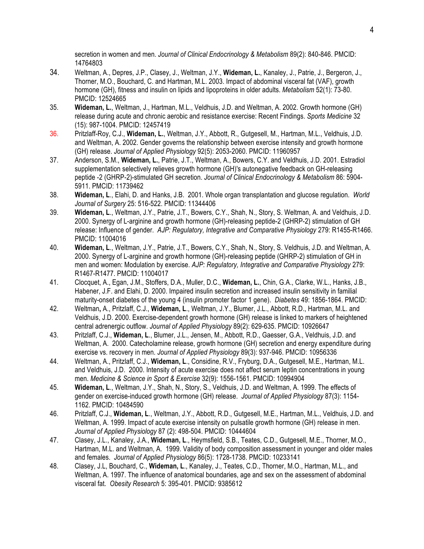secretion in women and men. *Journal of Clinical Endocrinology & Metabolism* 89(2): 840-846. PMCID: 14764803

- 34. Weltman, A., Depres, J.P., Clasey, J., Weltman, J.Y., **Wideman, L.**, Kanaley, J., Patrie, J., Bergeron, J., Thorner, M.O., Bouchard, C. and Hartman, M.L. 2003. Impact of abdominal visceral fat (VAF), growth hormone (GH), fitness and insulin on lipids and lipoproteins in older adults. *Metabolism* 52(1): 73-80. PMCID: 12524665
- 35. **Wideman, L.**, Weltman, J., Hartman, M.L., Veldhuis, J.D. and Weltman, A. 2002. Growth hormone (GH) release during acute and chronic aerobic and resistance exercise: Recent Findings. *Sports Medicine* 32 (15): 987-1004. PMCID: 12457419
- 36. Pritzlaff-Roy, C.J., **Wideman, L.**, Weltman, J.Y., Abbott, R., Gutgesell, M., Hartman, M.L., Veldhuis, J.D. and Weltman, A. 2002. Gender governs the relationship between exercise intensity and growth hormone (GH) release. *Journal of Applied Physiology* 92(5): 2053-2060. PMCID: 11960957
- 37. Anderson, S.M., **Wideman, L.**, Patrie, J.T., Weltman, A., Bowers, C.Y. and Veldhuis, J.D. 2001. Estradiol supplementation selectively relieves growth hormone (GH)'s autonegative feedback on GH-releasing peptide -2 (GHRP-2)-stimulated GH secretion. *Journal of Clinical Endocrinology & Metabolism* 86: 5904- 5911. PMCID: 11739462
- 38. **Wideman, L**., Elahi, D. and Hanks, J.B. 2001. Whole organ transplantation and glucose regulation. *World Journal of Surgery* 25: 516-522. PMCID: 11344406
- 39. **Wideman, L**., Weltman, J.Y., Patrie, J.T., Bowers, C.Y., Shah, N., Story, S. Weltman, A. and Veldhuis, J.D. 2000. Synergy of L-arginine and growth hormone (GH)-releasing peptide-2 (GHRP-2) stimulation of GH release: Influence of gender. *AJP: Regulatory, Integrative and Comparative Physiology* 279: R1455-R1466. PMCID: 11004016
- 40. **Wideman, L**., Weltman, J.Y., Patrie, J.T., Bowers, C.Y., Shah, N., Story, S. Veldhuis, J.D. and Weltman, A. 2000. Synergy of L-arginine and growth hormone (GH)-releasing peptide (GHRP-2) stimulation of GH in men and women: Modulation by exercise. *AJP: Regulatory, Integrative and Comparative Physiology* 279: R1467-R1477. PMCID: 11004017
- 41. Clocquet, A., Egan, J.M., Stoffers, D.A., Muller, D.C., **Wideman, L.**, Chin, G.A., Clarke, W.L., Hanks, J.B., Habener, J.F. and Elahi, D. 2000. Impaired insulin secretion and increased insulin sensitivity in familial maturity-onset diabetes of the young 4 (insulin promoter factor 1 gene). *Diabetes* 49: 1856-1864. PMCID:
- 42. Weltman**,** A., Pritzlaff, C.J., **Wideman, L**., Weltman, J.Y., Blumer, J.L., Abbott, R.D., Hartman, M.L. and Veldhuis, J.D. 2000. Exercise-dependent growth hormone (GH) release is linked to markers of heightened central adrenergic outflow. *Journal of Applied Physiology* 89(2): 629-635. PMCID: 10926647
- 43. Pritzlaff, C.J., **Wideman, L**., Blumer, J.L., Jensen, M., Abbott, R.D., Gaesser, G.A., Veldhuis, J.D. and Weltman, A. 2000. Catecholamine release, growth hormone (GH) secretion and energy expenditure during exercise vs. recovery in men. *Journal of Applied Physiology* 89(3): 937-946. PMCID: 10956336
- 44. Weltman, A., Pritzlaff, C.J., **Wideman, L**., Considine, R.V., Fryburg, D.A., Gutgesell, M.E., Hartman, M.L. and Veldhuis, J.D. 2000. Intensity of acute exercise does not affect serum leptin concentrations in young men. *Medicine & Science in Sport & Exercise* 32(9): 1556-1561. PMCID: 10994904
- 45. **Wideman, L**., Weltman, J.Y., Shah, N., Story, S., Veldhuis, J.D. and Weltman, A. 1999. The effects of gender on exercise-induced growth hormone (GH) release. *Journal of Applied Physiology* 87(3): 1154- 1162. PMCID: 10484590
- 46. Pritzlaff, C.J., **Wideman, L**., Weltman, J.Y., Abbott, R.D., Gutgesell, M.E., Hartman, M.L., Veldhuis, J.D. and Weltman, A. 1999. Impact of acute exercise intensity on pulsatile growth hormone (GH) release in men. *Journal of Applied Physiology* 87 (2): 498-504. PMCID: 10444604
- 47. Clasey, J.L., Kanaley, J.A., **Wideman, L**., Heymsfield, S.B., Teates, C.D., Gutgesell, M.E., Thorner, M.O., Hartman, M.L. and Weltman, A. 1999. Validity of body composition assessment in younger and older males and females. *Journal of Applied Physiology* 86(5): 1728-1738. PMCID: 10233141
- 48. Clasey, J.L, Bouchard, C., **Wideman, L**., Kanaley, J., Teates, C.D., Thorner, M.O., Hartman, M.L., and Weltman, A. 1997. The influence of anatomical boundaries, age and sex on the assessment of abdominal visceral fat. *Obesity Research* 5: 395-401. PMCID: 9385612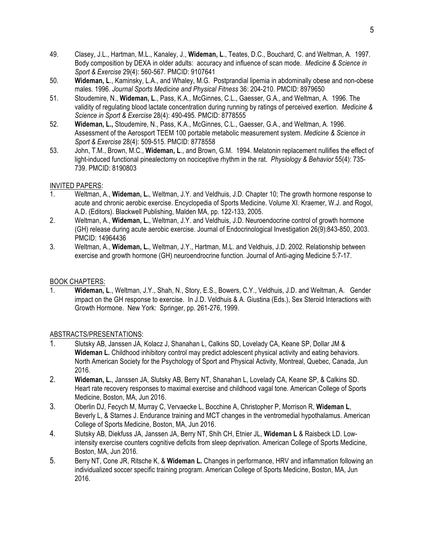- 49. Clasey, J.L., Hartman, M.L., Kanaley, J., **Wideman, L**., Teates, D.C., Bouchard, C. and Weltman, A. 1997. Body composition by DEXA in older adults: accuracy and influence of scan mode. *Medicine & Science in Sport & Exercise* 29(4): 560-567. PMCID: 9107641
- 50. **Wideman, L**., Kaminsky, L.A., and Whaley, M.G. Postprandial lipemia in abdominally obese and non-obese males. 1996. *Journal Sports Medicine and Physical Fitness* 36: 204-210. PMCID: 8979650
- 51. Stoudemire, N., **Wideman, L**., Pass, K.A., McGinnes, C.L., Gaesser, G.A., and Weltman, A. 1996. The validity of regulating blood lactate concentration during running by ratings of perceived exertion. *Medicine & Science in Sport & Exercise* 28(4): 490-495. PMCID: 8778555
- 52. **Wideman, L.,** Stoudemire, N., Pass, K.A., McGinnes, C.L., Gaesser, G.A., and Weltman, A. 1996. Assessment of the Aerosport TEEM 100 portable metabolic measurement system. *Medicine & Science in Sport & Exercise* 28(4): 509-515. PMCID: 8778558
- 53. John, T.M., Brown, M.C., **Wideman, L**., and Brown, G.M. 1994. Melatonin replacement nullifies the effect of light-induced functional pinealectomy on nociceptive rhythm in the rat. *Physiology & Behavior* 55(4): 735- 739. PMCID: 8190803

### INVITED PAPERS:

- 1. Weltman, A., **Wideman, L.**, Weltman, J.Y. and Veldhuis, J.D. Chapter 10; The growth hormone response to acute and chronic aerobic exercise. Encyclopedia of Sports Medicine. Volume XI. Kraemer, W.J. and Rogol, A.D. (Editors). Blackwell Publishing, Malden MA, pp. 122-133, 2005.
- 2. Weltman, A., **Wideman, L.**, Weltman, J.Y. and Veldhuis, J.D. Neuroendocrine control of growth hormone (GH) release during acute aerobic exercise. Journal of Endocrinological Investigation 26(9):843-850, 2003. PMCID: 14964436
- 3. Weltman, A., **Wideman, L.**, Weltman, J.Y., Hartman, M.L. and Veldhuis, J.D. 2002. Relationship between exercise and growth hormone (GH) neuroendrocrine function. Journal of Anti-aging Medicine 5:7-17.

### BOOK CHAPTERS:

1. **Wideman, L**., Weltman, J.Y., Shah, N., Story, E.S., Bowers, C.Y., Veldhuis, J.D. and Weltman, A. Gender impact on the GH response to exercise. In J.D. Veldhuis & A. Giustina (Eds.), Sex Steroid Interactions with Growth Hormone. New York: Springer, pp. 261-276, 1999.

### ABSTRACTS/PRESENTATIONS:

- 1. Slutsky AB, Janssen JA, Kolacz J, Shanahan L, Calkins SD, Lovelady CA, Keane SP, Dollar JM & **Wideman L.** Childhood inhibitory control may predict adolescent physical activity and eating behaviors. North American Society for the Psychology of Sport and Physical Activity, Montreal, Quebec, Canada, Jun 2016.
- 2. **Wideman, L.**, Janssen JA, Slutsky AB, Berry NT, Shanahan L, Lovelady CA, Keane SP, & Calkins SD. Heart rate recovery responses to maximal exercise and childhood vagal tone. American College of Sports Medicine, Boston, MA, Jun 2016.
- 3. Oberlin DJ, Fecych M, Murray C, Vervaecke L, Bocchine A, Christopher P, Morrison R, **Wideman L**, Beverly L, & Starnes J. Endurance training and MCT changes in the ventromedial hypothalamus. American College of Sports Medicine, Boston, MA, Jun 2016.
- 4. Slutsky AB, Diekfuss JA, Janssen JA, Berry NT, Shih CH, Etnier JL, **Wideman L** & Raisbeck LD. Lowintensity exercise counters cognitive deficits from sleep deprivation. American College of Sports Medicine, Boston, MA, Jun 2016.
- 5. Berry NT, Cone JR, Ritsche K, & **Wideman L.** Changes in performance, HRV and inflammation following an individualized soccer specific training program. American College of Sports Medicine, Boston, MA, Jun 2016.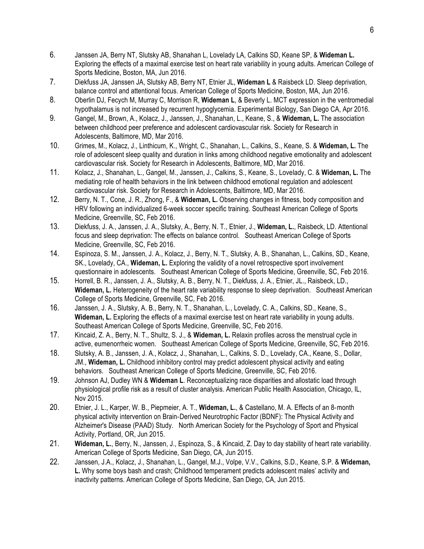- 6. Janssen JA, Berry NT, Slutsky AB, Shanahan L, Lovelady LA, Calkins SD, Keane SP, & **Wideman L.** Exploring the effects of a maximal exercise test on heart rate variability in young adults. American College of Sports Medicine, Boston, MA, Jun 2016.
- 7. Diekfuss JA, Janssen JA, Slutsky AB, Berry NT, Etnier JL, **Wideman L** & Raisbeck LD. Sleep deprivation, balance control and attentional focus. American College of Sports Medicine, Boston, MA, Jun 2016.
- 8. Oberlin DJ, Fecych M, Murray C, Morrison R, **Wideman L**, & Beverly L. MCT expression in the ventromedial hypothalamus is not increased by recurrent hypoglycemia. Experimental Biology, San Diego CA, Apr 2016.
- 9. Gangel, M., Brown, A., Kolacz, J., Janssen, J., Shanahan, L., Keane, S., & **Wideman, L.** The association between childhood peer preference and adolescent cardiovascular risk. Society for Research in Adolescents, Baltimore, MD, Mar 2016.
- 10. Grimes, M., Kolacz, J., Linthicum, K., Wright, C., Shanahan, L., Calkins, S., Keane, S. & **Wideman, L.** The role of adolescent sleep quality and duration in links among childhood negative emotionality and adolescent cardiovascular risk. Society for Research in Adolescents, Baltimore, MD, Mar 2016.
- 11. Kolacz, J., Shanahan, L., Gangel, M., Janssen, J., Calkins, S., Keane, S., Lovelady, C. & **Wideman, L.** The mediating role of health behaviors in the link between childhood emotional regulation and adolescent cardiovascular risk. Society for Research in Adolescents, Baltimore, MD, Mar 2016.
- 12. Berry, N. T., Cone, J. R., Zhong, F., & **Wideman, L.** Observing changes in fitness, body composition and HRV following an individualized 6-week soccer specific training. Southeast American College of Sports Medicine, Greenville, SC, Feb 2016.
- 13. Diekfuss, J. A., Janssen, J. A., Slutsky, A., Berry, N. T., Etnier, J., **Wideman, L.**, Raisbeck, LD. Attentional focus and sleep deprivation: The effects on balance control. Southeast American College of Sports Medicine, Greenville, SC, Feb 2016.
- 14. Espinoza, S. M., Janssen, J. A., Kolacz, J., Berry, N. T., Slutsky, A. B., Shanahan, L., Calkins, SD., Keane, SK., Lovelady, CA., **Wideman, L.** Exploring the validity of a novel retrospective sport involvement questionnaire in adolescents. Southeast American College of Sports Medicine, Greenville, SC, Feb 2016.
- 15. Horrell, B. R., Janssen, J. A., Slutsky, A. B., Berry, N. T., Diekfuss, J. A., Etnier, JL., Raisbeck, LD., **Wideman, L.** Heterogeneity of the heart rate variability response to sleep deprivation. Southeast American College of Sports Medicine, Greenville, SC, Feb 2016.
- 16. Janssen, J. A., Slutsky, A. B., Berry, N. T., Shanahan, L., Lovelady, C. A., Calkins, SD., Keane, S., **Wideman, L.** Exploring the effects of a maximal exercise test on heart rate variability in young adults. Southeast American College of Sports Medicine, Greenville, SC, Feb 2016.
- 17. Kincaid, Z. A., Berry, N. T., Shultz, S. J., & **Wideman, L.** Relaxin profiles across the menstrual cycle in active, eumenorrheic women. Southeast American College of Sports Medicine, Greenville, SC, Feb 2016.
- 18. Slutsky, A. B., Janssen, J. A., Kolacz, J., Shanahan, L., Calkins, S. D., Lovelady, CA., Keane, S., Dollar, JM., **Wideman, L.** Childhood inhibitory control may predict adolescent physical activity and eating behaviors. Southeast American College of Sports Medicine, Greenville, SC, Feb 2016.
- 19. Johnson AJ, Dudley WN & **Wideman L**. Reconceptualizing race disparities and allostatic load through physiological profile risk as a result of cluster analysis. American Public Health Association, Chicago, IL, Nov 2015.
- 20. Etnier, J. L., Karper, W. B., Piepmeier, A. T., **Wideman, L.**, & Castellano, M. A. Effects of an 8-month physical activity intervention on Brain-Derived Neurotrophic Factor (BDNF): The Physical Activity and Alzheimer's Disease (PAAD) Study. North American Society for the Psychology of Sport and Physical Activity, Portland, OR, Jun 2015.
- 21. **Wideman, L.**, Berry, N., Janssen, J., Espinoza, S., & Kincaid, Z. Day to day stability of heart rate variability. American College of Sports Medicine, San Diego, CA, Jun 2015.
- 22. Janssen, J.A., Kolacz, J., Shanahan, L., Gangel, M.J., Volpe, V.V., Calkins, S.D., Keane, S.P. & **Wideman, L.** Why some boys bash and crash; Childhood temperament predicts adolescent males' activity and inactivity patterns. American College of Sports Medicine, San Diego, CA, Jun 2015.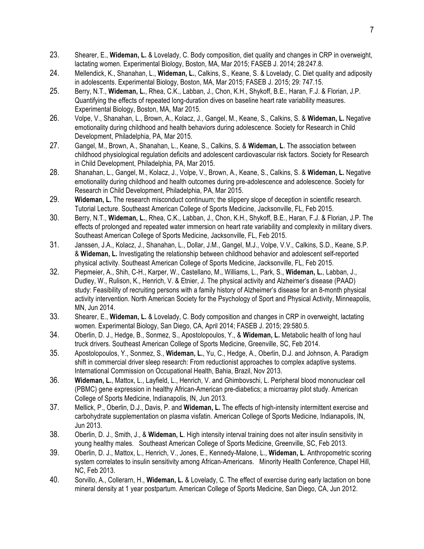- 23. Shearer, E., **Wideman, L.** & Lovelady, C. Body composition, diet quality and changes in CRP in overweight, lactating women. Experimental Biology, Boston, MA, Mar 2015; FASEB J. 2014; 28:247.8.
- 24. Mellendick, K., Shanahan, L., **Wideman, L.**, Calkins, S., Keane, S. & Lovelady, C. Diet quality and adiposity in adolescents. Experimental Biology, Boston, MA, Mar 2015; FASEB J. 2015; 29: 747.15.
- 25. Berry, N.T., **Wideman, L.**, Rhea, C.K., Labban, J., Chon, K.H., Shykoff, B.E., Haran, F.J. & Florian, J.P. Quantifying the effects of repeated long-duration dives on baseline heart rate variability measures. Experimental Biology, Boston, MA, Mar 2015.
- 26. Volpe, V., Shanahan, L., Brown, A., Kolacz, J., Gangel, M., Keane, S., Calkins, S. & **Wideman, L.** Negative emotionality during childhood and health behaviors during adolescence. Society for Research in Child Development, Philadelphia, PA, Mar 2015.
- 27. Gangel, M., Brown, A., Shanahan, L., Keane, S., Calkins, S. & **Wideman, L**. The association between childhood physiological regulation deficits and adolescent cardiovascular risk factors. Society for Research in Child Development, Philadelphia, PA, Mar 2015.
- 28. Shanahan, L., Gangel, M., Kolacz, J., Volpe, V., Brown, A., Keane, S., Calkins, S. & **Wideman, L.** Negative emotionality during childhood and health outcomes during pre-adolescence and adolescence. Society for Research in Child Development, Philadelphia, PA, Mar 2015.
- 29. **Wideman, L.** The research misconduct continuum; the slippery slope of deception in scientific research. Tutorial Lecture. Southeast American College of Sports Medicine, Jacksonville, FL, Feb 2015.
- 30. Berry, N.T., **Wideman, L.**, Rhea, C.K., Labban, J., Chon, K.H., Shykoff, B.E., Haran, F.J. & Florian, J.P. The effects of prolonged and repeated water immersion on heart rate variability and complexity in military divers. Southeast American College of Sports Medicine, Jacksonville, FL, Feb 2015.
- 31. Janssen, J.A., Kolacz, J., Shanahan, L., Dollar, J.M., Gangel, M.J., Volpe, V.V., Calkins, S.D., Keane, S.P. & **Wideman, L.** Investigating the relationship between childhood behavior and adolescent self-reported physical activity. Southeast American College of Sports Medicine, Jacksonville, FL, Feb 2015.
- 32. Piepmeier, A., Shih, C-H., Karper, W., Castellano, M., Williams, L., Park, S., **Wideman, L.**, Labban, J., Dudley, W., Rulison, K., Henrich, V. & Etnier, J. The physical activity and Alzheimer's disease (PAAD) study: Feasibility of recruiting persons with a family history of Alzheimer's disease for an 8-month physical activity intervention. North American Society for the Psychology of Sport and Physical Activity, Minneapolis, MN, Jun 2014.
- 33. Shearer, E., **Wideman, L.** & Lovelady, C. Body composition and changes in CRP in overweight, lactating women. Experimental Biology, San Diego, CA, April 2014; FASEB J. 2015; 29:580.5.
- 34. Oberlin, D. J., Hedge, B., Sonmez, S., Apostolopoulos, Y., & **Wideman, L.** Metabolic health of long haul truck drivers. Southeast American College of Sports Medicine, Greenville, SC, Feb 2014.
- 35. Apostolopoulos, Y., Sonmez, S., **Wideman, L.**, Yu, C., Hedge, A., Oberlin, D.J. and Johnson, A. Paradigm shift in commercial driver sleep research: From reductionist approaches to complex adaptive systems. International Commission on Occupational Health, Bahia, Brazil, Nov 2013.
- 36. **Wideman, L.**, Mattox, L., Layfield, L., Henrich, V. and Ghimbovschi, L. Peripheral blood mononuclear cell (PBMC) gene expression in healthy African-American pre-diabetics; a microarray pilot study. American College of Sports Medicine, Indianapolis, IN, Jun 2013.
- 37. Mellick, P., Oberlin, D.J., Davis, P. and **Wideman, L.** The effects of high-intensity intermittent exercise and carbohydrate supplementation on plasma visfatin. American College of Sports Medicine, Indianapolis, IN, Jun 2013.
- 38. Oberlin, D. J., Smith, J., & **Wideman, L**. High intensity interval training does not alter insulin sensitivity in young healthy males. Southeast American College of Sports Medicine, Greenville, SC, Feb 2013.
- 39. Oberlin, D. J., Mattox, L., Henrich, V., Jones, E., Kennedy-Malone, L., **Wideman, L**. Anthropometric scoring system correlates to insulin sensitivity among African-Americans. Minority Health Conference, Chapel Hill, NC, Feb 2013.
- 40. Sorvillo, A., Collerarn, H., **Wideman, L.** & Lovelady, C. The effect of exercise during early lactation on bone mineral density at 1 year postpartum. American College of Sports Medicine, San Diego, CA, Jun 2012.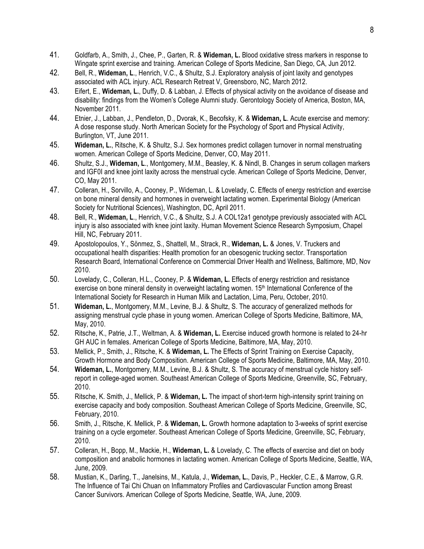- 41. Goldfarb, A., Smith, J., Chee, P., Garten, R. & **Wideman, L.** Blood oxidative stress markers in response to Wingate sprint exercise and training. American College of Sports Medicine, San Diego, CA, Jun 2012.
- 42. Bell, R., **Wideman, L**., Henrich, V.C., & Shultz, S.J. Exploratory analysis of joint laxity and genotypes associated with ACL injury. ACL Research Retreat V, Greensboro, NC, March 2012.
- 43. Eifert, E., **Wideman, L.**, Duffy, D. & Labban, J. Effects of physical activity on the avoidance of disease and disability: findings from the Women's College Alumni study. Gerontology Society of America, Boston, MA, November 2011.
- 44. Etnier, J., Labban, J., Pendleton, D., Dvorak, K., Becofsky, K. & **Wideman, L**. Acute exercise and memory: A dose response study. North American Society for the Psychology of Sport and Physical Activity, Burlington, VT, June 2011.
- 45. **Wideman, L.**, Ritsche, K. & Shultz, S.J. Sex hormones predict collagen turnover in normal menstruating women. American College of Sports Medicine, Denver, CO, May 2011.
- 46. Shultz, S.J., **Wideman, L**., Montgomery, M.M., Beasley, K. & Nindl, B. Changes in serum collagen markers and IGF0I and knee joint laxity across the menstrual cycle. American College of Sports Medicine, Denver, CO, May 2011.
- 47. Colleran, H., Sorvillo, A., Cooney, P., Wideman, L. & Lovelady, C. Effects of energy restriction and exercise on bone mineral density and hormones in overweight lactating women. Experimental Biology (American Society for Nutritional Sciences), Washington, DC, April 2011.
- 48. Bell, R., **Wideman, L**., Henrich, V.C., & Shultz, S.J. A COL12a1 genotype previously associated with ACL injury is also associated with knee joint laxity. Human Movement Science Research Symposium, Chapel Hill, NC, February 2011.
- 49. Apostolopoulos, Y., Sönmez, S., Shattell, M., Strack, R., **Wideman, L.** & Jones, V. Truckers and occupational health disparities: Health promotion for an obesogenic trucking sector. Transportation Research Board, International Conference on Commercial Driver Health and Wellness, Baltimore, MD, Nov 2010.
- 50. Lovelady, C., Colleran, H.L., Cooney, P. & **Wideman, L.** Effects of energy restriction and resistance exercise on bone mineral density in overweight lactating women. 15<sup>th</sup> International Conference of the International Society for Research in Human Milk and Lactation, Lima, Peru, October, 2010.
- 51. **Wideman, L.**, Montgomery, M.M., Levine, B.J. & Shultz, S. The accuracy of generalized methods for assigning menstrual cycle phase in young women. American College of Sports Medicine, Baltimore, MA, May, 2010.
- 52. Ritsche, K., Patrie, J.T., Weltman, A. & **Wideman, L.** Exercise induced growth hormone is related to 24-hr GH AUC in females. American College of Sports Medicine, Baltimore, MA, May, 2010.
- 53. Mellick, P., Smith, J., Ritsche, K. & **Wideman, L.** The Effects of Sprint Training on Exercise Capacity, Growth Hormone and Body Composition. American College of Sports Medicine, Baltimore, MA, May, 2010.
- 54. **Wideman, L.**, Montgomery, M.M., Levine, B.J. & Shultz, S. The accuracy of menstrual cycle history selfreport in college-aged women. Southeast American College of Sports Medicine, Greenville, SC, February, 2010.
- 55. Ritsche, K. Smith, J., Mellick, P. & **Wideman, L.** The impact of short-term high-intensity sprint training on exercise capacity and body composition. Southeast American College of Sports Medicine, Greenville, SC, February, 2010.
- 56. Smith, J., Ritsche, K. Mellick, P. & **Wideman, L.** Growth hormone adaptation to 3-weeks of sprint exercise training on a cycle ergometer. Southeast American College of Sports Medicine, Greenville, SC, February, 2010.
- 57. Colleran, H., Bopp, M., Mackie, H., **Wideman, L.** & Lovelady, C. [The effects of exercise and diet on body](https://sedonaweb.com/code/addeditConference.cfm?whatodo=edit&whichpub=Presentation&key=1651NCHH&where=AND pubtype=Presentation&id=1788&fromimagemap=yes&clicked=Presentation) [composition and anabolic hormones in lactating women](https://sedonaweb.com/code/addeditConference.cfm?whatodo=edit&whichpub=Presentation&key=1651NCHH&where=AND pubtype=Presentation&id=1788&fromimagemap=yes&clicked=Presentation). American College of Sports Medicine, Seattle, WA, June, 2009.
- 58. Mustian, K., Darling, T., Janelsins, M., Katula, J., **Wideman, L.**, Davis, P., Heckler, C.E., & Marrow, G.R. The Influence of Tai Chi Chuan on Inflammatory Profiles and Cardiovascular Function among Breast Cancer Survivors. American College of Sports Medicine, Seattle, WA, June, 2009.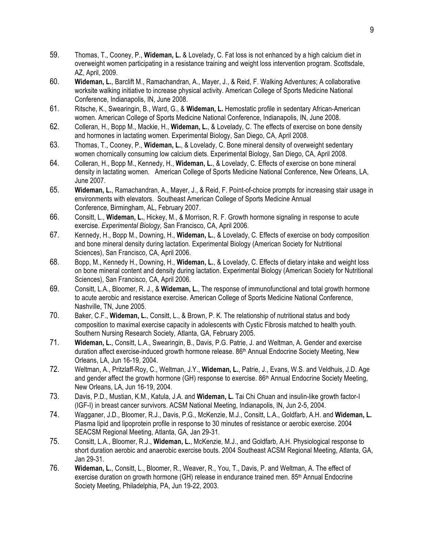- 59. Thomas, T., Cooney, P., **Wideman, L.** & Lovelady, C. [Fat loss is not enhanced by a high](https://sedonaweb.com/code/addeditConference.cfm?whatodo=edit&whichpub=Presentation&key=1651NCHH&where=AND pubtype=Presentation&id=1787&fromimagemap=yes&clicked=Presentation) calcium diet in [overweight women participating in a resistance training and weight loss intervention program](https://sedonaweb.com/code/addeditConference.cfm?whatodo=edit&whichpub=Presentation&key=1651NCHH&where=AND pubtype=Presentation&id=1787&fromimagemap=yes&clicked=Presentation). Scottsdale, AZ, April, 2009.
- 60. **Wideman, L.**, Barclift M., Ramachandran, A., Mayer, J., & Reid, F. Walking Adventures; A collaborative worksite walking initiative to increase physical activity. American College of Sports Medicine National Conference, Indianapolis, IN, June 2008.
- 61. Ritsche, K., Swearingin, B., Ward, G., & **Wideman, L.** Hemostatic profile in sedentary African-American women*.* American College of Sports Medicine National Conference, Indianapolis, IN, June 2008.
- 62. Colleran, H., Bopp M., Mackie, H., **Wideman, L.**, & Lovelady, C. The effects of exercise on bone density and hormones in lactating women*.* Experimental Biology, San Diego, CA, April 2008.
- 63. Thomas, T., Cooney, P., **Wideman, L.**, & Lovelady, C. Bone mineral density of overweight sedentary women chornically consuming low calcium diets. Experimental Biology, San Diego, CA, April 2008.
- 64. Colleran, H., Bopp M., Kennedy, H., **Wideman, L.**, & Lovelady, C. Effects of exercise on bone mineral density in lactating women. American College of Sports Medicine National Conference, New Orleans, LA, June 2007.
- 65. **Wideman, L.**, Ramachandran, A., Mayer, J., & Reid, F. Point-of-choice prompts for increasing stair usage in environments with elevators. Southeast American College of Sports Medicine Annual Conference, Birmingham, AL, February 2007.
- 66. Consitt, L., **Wideman, L.**, Hickey, M., & Morrison, R. F. Growth hormone signaling in response to acute exercise. *Experimental Biology,* San Francisco, CA, April 2006.
- 67. Kennedy, H., Bopp M., Downing, H., **Wideman, L.**, & Lovelady, C. Effects of exercise on body composition and bone mineral density during lactation. Experimental Biology (American Society for Nutritional Sciences), San Francisco, CA, April 2006.
- 68. Bopp, M., Kennedy H., Downing, H., **Wideman, L.**, & Lovelady, C. Effects of dietary intake and weight loss on bone mineral content and density during lactation. Experimental Biology (American Society for Nutritional Sciences), San Francisco, CA, April 2006.
- 69. Consitt, L.A., Bloomer, R. J., & **Wideman, L.**, The response of immunofunctional and total growth hormone to acute aerobic and resistance exercise. American College of Sports Medicine National Conference, Nashville, TN, June 2005.
- 70. Baker, C.F., **Wideman, L.**, Consitt, L., & Brown, P. K. The relationship of nutritional status and body composition to maximal exercise capacity in adolescents with Cystic Fibrosis matched to health youth. Southern Nursing Research Society*,* Atlanta, GA, February 2005.
- 71. **Wideman, L.**, Consitt, L.A., Swearingin, B., Davis, P.G. Patrie, J. and Weltman, A. Gender and exercise duration affect exercise-induced growth hormone release. 86<sup>th</sup> Annual Endocrine Society Meeting, New Orleans, LA, Jun 16-19, 2004.
- 72. Weltman, A., Pritzlaff-Roy, C., Weltman, J.Y., **Wideman, L.**, Patrie, J., Evans, W.S. and Veldhuis, J.D. Age and gender affect the growth hormone (GH) response to exercise.  $86<sup>th</sup>$  Annual Endocrine Society Meeting, New Orleans, LA, Jun 16-19, 2004.
- 73. Davis, P.D., Mustian, K.M., Katula, J.A. and **Wideman, L.** Tai Chi Chuan and insulin-like growth factor-I (IGF-I) in breast cancer survivors. ACSM National Meeting, Indianapolis, IN, Jun 2-5, 2004.
- 74. Wagganer, J.D., Bloomer, R.J., Davis, P.G., McKenzie, M.J., Consitt, L.A., Goldfarb, A.H. and **Wideman, L.** Plasma lipid and lipoprotein profile in response to 30 minutes of resistance or aerobic exercise. 2004 SEACSM Regional Meeting, Atlanta, GA, Jan 29-31.
- 75. Consitt, L.A., Bloomer, R.J., **Wideman, L.**, McKenzie, M.J., and Goldfarb, A.H. Physiological response to short duration aerobic and anaerobic exercise bouts. 2004 Southeast ACSM Regional Meeting, Atlanta, GA, Jan 29-31.
- 76. **Wideman, L.**, Consitt, L., Bloomer, R., Weaver, R., You, T., Davis, P. and Weltman, A. The effect of exercise duration on growth hormone (GH) release in endurance trained men. 85<sup>th</sup> Annual Endocrine Society Meeting, Philadelphia, PA, Jun 19-22, 2003.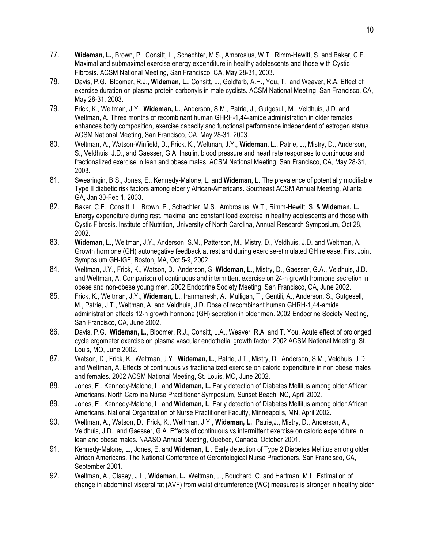- 77. **Wideman, L.**, Brown, P., Consitt, L., Schechter, M.S., Ambrosius, W.T., Rimm-Hewitt, S. and Baker, C.F. Maximal and submaximal exercise energy expenditure in healthy adolescents and those with Cystic Fibrosis. ACSM National Meeting, San Francisco, CA, May 28-31, 2003.
- 78. Davis, P.G., Bloomer, R.J., **Wideman, L.**, Consitt, L., Goldfarb, A.H., You, T., and Weaver, R.A. Effect of exercise duration on plasma protein carbonyls in male cyclists. ACSM National Meeting, San Francisco, CA, May 28-31, 2003.
- 79. Frick, K., Weltman, J.Y., **Wideman, L.**, Anderson, S.M., Patrie, J., Gutgesull, M., Veldhuis, J.D. and Weltman, A. Three months of recombinant human GHRH-1,44-amide administration in older females enhances body composition, exercise capacity and functional performance independent of estrogen status. ACSM National Meeting, San Francisco, CA, May 28-31, 2003.
- 80. Weltman, A., Watson-Winfield, D., Frick, K., Weltman, J.Y., **Wideman, L.**, Patrie, J., Mistry, D., Anderson, S., Veldhuis, J.D., and Gaesser, G.A. Insulin, blood pressure and heart rate responses to continuous and fractionalized exercise in lean and obese males. ACSM National Meeting, San Francisco, CA, May 28-31, 2003.
- 81. Swearingin, B.S., Jones, E., Kennedy-Malone, L. and **Wideman, L.** The prevalence of potentially modifiable Type II diabetic risk factors among elderly African-Americans. Southeast ACSM Annual Meeting, Atlanta, GA, Jan 30-Feb 1, 2003.
- 82. Baker, C.F., Consitt, L., Brown, P., Schechter, M.S., Ambrosius, W.T., Rimm-Hewitt, S. & **Wideman, L.** Energy expenditure during rest, maximal and constant load exercise in healthy adolescents and those with Cystic Fibrosis. Institute of Nutrition, University of North Carolina, Annual Research Symposium, Oct 28, 2002.
- 83. **Wideman, L.**, Weltman, J.Y., Anderson, S.M., Patterson, M., Mistry, D., Veldhuis, J.D. and Weltman, A. Growth hormone (GH) autonegative feedback at rest and during exercise-stimulated GH release. First Joint Symposium GH-IGF, Boston, MA, Oct 5-9, 2002.
- 84. Weltman, J.Y., Frick, K., Watson, D., Anderson, S. **Wideman, L.**, Mistry, D., Gaesser, G.A., Veldhuis, J.D. and Weltman, A. Comparison of continuous and intermittent exercise on 24-h growth hormone secretion in obese and non-obese young men. 2002 Endocrine Society Meeting, San Francisco, CA, June 2002.
- 85. Frick, K., Weltman, J.Y., **Wideman, L.**, Iranmanesh, A., Mulligan, T., Gentili, A., Anderson, S., Gutgesell, M., Patrie, J.T., Weltman, A. and Veldhuis, J.D. Dose of recombinant human GHRH-1,44-amide administration affects 12-h growth hormone (GH) secretion in older men. 2002 Endocrine Society Meeting, San Francisco, CA, June 2002.
- 86. Davis, P.G., **Wideman, L.**, Bloomer, R.J., Consitt, L.A., Weaver, R.A. and T. You. Acute effect of prolonged cycle ergometer exercise on plasma vascular endothelial growth factor. 2002 ACSM National Meeting, St. Louis, MO, June 2002.
- 87. Watson, D., Frick, K., Weltman, J.Y., **Wideman, L.**, Patrie, J.T., Mistry, D., Anderson, S.M., Veldhuis, J.D. and Weltman, A. Effects of continuous vs fractionalized exercise on caloric expenditure in non obese males and females. 2002 ACSM National Meeting, St. Louis, MO, June 2002.
- 88. Jones, E., Kennedy-Malone, L. and **Wideman, L.** Early detection of Diabetes Mellitus among older African Americans. North Carolina Nurse Practitioner Symposium, Sunset Beach, NC, April 2002.
- 89. Jones, E., Kennedy-Malone, L. and **Wideman, L**. Early detection of Diabetes Mellitus among older African Americans. National Organization of Nurse Practitioner Faculty, Minneapolis, MN, April 2002.
- 90. Weltman, A., Watson, D., Frick, K., Weltman, J.Y., **Wideman, L.**, Patrie,J., Mistry, D., Anderson, A., Veldhuis, J.D., and Gaesser, G.A. Effects of continuous vs intermittent exercise on caloric expenditure in lean and obese males. NAASO Annual Meeting, Quebec, Canada, October 2001.
- 91. Kennedy-Malone, L., Jones, E. and **Wideman, L .** Early detection of Type 2 Diabetes Mellitus among older African Americans. The National Conference of Gerontological Nurse Practioners. San Francisco, CA, September 2001.
- 92. Weltman, A., Clasey, J.L., **Wideman, L.**, Weltman, J., Bouchard, C. and Hartman, M.L. Estimation of change in abdominal visceral fat (AVF) from waist circumference (WC) measures is stronger in healthy older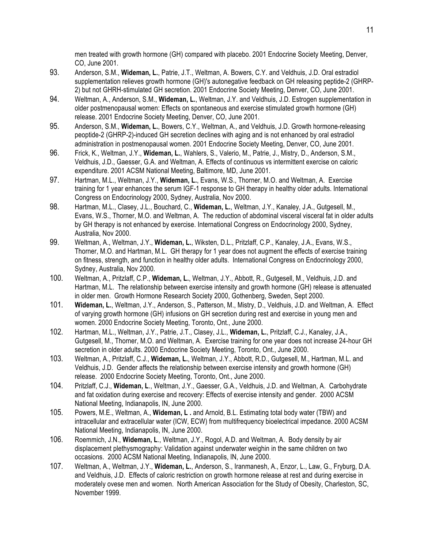men treated with growth hormone (GH) compared with placebo. 2001 Endocrine Society Meeting, Denver, CO, June 2001.

- 93. Anderson, S.M., **Wideman, L.**, Patrie, J.T., Weltman, A. Bowers, C.Y. and Veldhuis, J.D. Oral estradiol supplementation relieves growth hormone (GH)'s autonegative feedback on GH releasing peptide-2 (GHRP-2) but not GHRH-stimulated GH secretion. 2001 Endocrine Society Meeting, Denver, CO, June 2001.
- 94. Weltman, A., Anderson, S.M., **Wideman, L.**, Weltman, J.Y. and Veldhuis, J.D. Estrogen supplementation in older postmenopausal women: Effects on spontaneous and exercise stimulated growth hormone (GH) release. 2001 Endocrine Society Meeting, Denver, CO, June 2001.
- 95. Anderson, S.M., **Wideman, L.**, Bowers, C.Y., Weltman, A., and Veldhuis, J.D. Growth hormone-releasing peoptide-2 (GHRP-2)-induced GH secretion declines with aging and is not enhanced by oral estradiol administration in postmenopausal women. 2001 Endocrine Society Meeting, Denver, CO, June 2001.
- 96. Frick, K., Weltman, J.Y., **Wideman, L.**, Wahlers, S., Valerio, M., Patrie, J., Mistry, D., Anderson, S.M., Veldhuis, J.D., Gaesser, G.A. and Weltman, A. Effects of continuous vs intermittent exercise on caloric expenditure. 2001 ACSM National Meeting, Baltimore, MD, June 2001.
- 97. Hartman, M.L., Weltman, J.Y., **Wideman, L.**, Evans, W.S., Thorner, M.O. and Weltman, A. Exercise training for 1 year enhances the serum IGF-1 response to GH therapy in healthy older adults. International Congress on Endocrinology 2000, Sydney, Australia, Nov 2000.
- 98. Hartman, M.L., Clasey, J.L., Bouchard, C., **Wideman, L.**, Weltman, J.Y., Kanaley, J.A., Gutgesell, M., Evans, W.S., Thorner, M.O. and Weltman, A. The reduction of abdominal visceral visceral fat in older adults by GH therapy is not enhanced by exercise. International Congress on Endocrinology 2000, Sydney, Australia, Nov 2000.
- 99. Weltman, A., Weltman, J.Y., **Wideman, L.**, Wiksten, D.L., Pritzlaff, C.P., Kanaley, J.A., Evans, W.S., Thorner, M.O. and Hartman, M.L. GH therapy for 1 year does not augment the effects of exercise training on fitness, strength, and function in healthy older adults. International Congress on Endocrinology 2000, Sydney, Australia, Nov 2000.
- 100. Weltman, A., Pritzlaff, C.P., **Wideman, L.**, Weltman, J.Y., Abbott, R., Gutgesell, M., Veldhuis, J.D. and Hartman, M.L. The relationship between exercise intensity and growth hormone (GH) release is attenuated in older men. Growth Hormone Research Society 2000, Gothenberg, Sweden, Sept 2000.
- 101. **Wideman, L.**, Weltman, J.Y., Anderson, S., Patterson, M., Mistry, D., Veldhuis, J.D. and Weltman, A. Effect of varying growth hormone (GH) infusions on GH secretion during rest and exercise in young men and women. 2000 Endocrine Society Meeting, Toronto, Ont., June 2000.
- 102. Hartman, M.L., Weltman, J.Y., Patrie, J.T., Clasey, J.L., **Wideman, L.**, Pritzlaff, C.J., Kanaley, J.A., Gutgesell, M., Thorner, M.O. and Weltman, A. Exercise training for one year does not increase 24-hour GH secretion in older adults. 2000 Endocrine Society Meeting, Toronto, Ont., June 2000.
- 103. Weltman, A., Pritzlaff, C.J., **Wideman, L.**, Weltman, J.Y., Abbott, R.D., Gutgesell, M., Hartman, M.L. and Veldhuis, J.D. Gender affects the relationship between exercise intensity and growth hormone (GH) release. 2000 Endocrine Society Meeting, Toronto, Ont., June 2000.
- 104. Pritzlaff, C.J., **Wideman, L**., Weltman, J.Y., Gaesser, G.A., Veldhuis, J.D. and Weltman, A. Carbohydrate and fat oxidation during exercise and recovery: Effects of exercise intensity and gender. 2000 ACSM National Meeting, Indianapolis, IN, June 2000.
- 105. Powers, M.E., Weltman, A., **Wideman, L .** and Arnold, B.L. Estimating total body water (TBW) and intracellular and extracellular water (ICW, ECW) from multifrequency bioelectrical impedance. 2000 ACSM National Meeting, Indianapolis, IN, June 2000.
- 106. Roemmich, J.N., **Wideman, L**., Weltman, J.Y., Rogol, A.D. and Weltman, A. Body density by air displacement plethysmography: Validation against underwater weighin in the same children on two occasions. 2000 ACSM National Meeting, Indianapolis, IN, June 2000.
- 107. Weltman, A., Weltman, J.Y., **Wideman, L.**, Anderson, S., Iranmanesh, A., Enzor, L., Law, G., Fryburg, D.A. and Veldhuis, J.D. Effects of caloric restriction on growth hormone release at rest and during exercise in moderately ovese men and women. North American Association for the Study of Obesity, Charleston, SC, November 1999.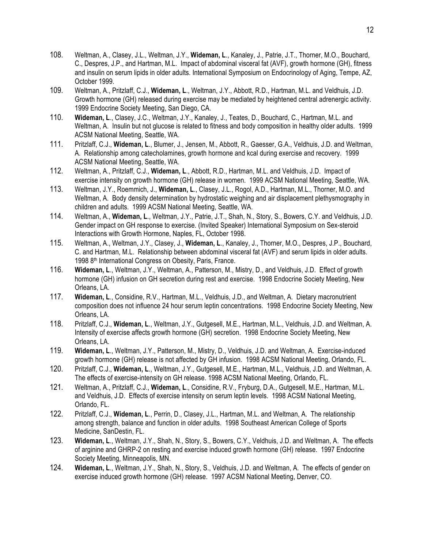- 108. Weltman, A., Clasey, J.L., Weltman, J.Y., **Wideman, L**., Kanaley, J., Patrie, J.T., Thorner, M.O., Bouchard, C., Despres, J.P., and Hartman, M.L. Impact of abdominal visceral fat (AVF), growth hormone (GH), fitness and insulin on serum lipids in older adults. International Symposium on Endocrinology of Aging, Tempe, AZ, October 1999.
- 109. Weltman, A., Pritzlaff, C.J., **Wideman, L**., Weltman, J.Y., Abbott, R.D., Hartman, M.L. and Veldhuis, J.D. Growth hormone (GH) released during exercise may be mediated by heightened central adrenergic activity. 1999 Endocrine Society Meeting, San Diego, CA.
- 110. **Wideman, L**., Clasey, J.C., Weltman, J.Y., Kanaley, J., Teates, D., Bouchard, C., Hartman, M.L. and Weltman, A. Insulin but not glucose is related to fitness and body composition in healthy older adults. 1999 ACSM National Meeting, Seattle, WA.
- 111. Pritzlaff, C.J., **Wideman, L**., Blumer, J., Jensen, M., Abbott, R., Gaesser, G.A., Veldhuis, J.D. and Weltman, A. Relationship among catecholamines, growth hormone and kcal during exercise and recovery. 1999 ACSM National Meeting, Seattle, WA.
- 112. Weltman, A., Pritzlaff, C.J., **Wideman, L**., Abbott, R.D., Hartman, M.L. and Veldhuis, J.D. Impact of exercise intensity on growth hormone (GH) release in women. 1999 ACSM National Meeting, Seattle, WA.
- 113. Weltman, J.Y., Roemmich, J., **Wideman, L**., Clasey, J.L., Rogol, A.D., Hartman, M.L., Thorner, M.O. and Weltman, A. Body density determination by hydrostatic weighing and air displacement plethysmography in children and adults. 1999 ACSM National Meeting, Seattle, WA.
- 114. Weltman, A., **Wideman, L**., Weltman, J.Y., Patrie, J.T., Shah, N., Story, S., Bowers, C.Y. and Veldhuis, J.D. Gender impact on GH response to exercise. (Invited Speaker) International Symposium on Sex-steroid Interactions with Growth Hormone, Naples, FL, October 1998.
- 115. Weltman, A., Weltman, J.Y., Clasey, J., **Wideman, L**., Kanaley, J., Thorner, M.O., Despres, J.P., Bouchard, C. and Hartman, M.L. Relationship between abdominal visceral fat (AVF) and serum lipids in older adults. 1998 8<sup>th</sup> International Congress on Obesity, Paris, France.
- 116. **Wideman, L**., Weltman, J.Y., Weltman, A., Patterson, M., Mistry, D., and Veldhuis, J.D. Effect of growth hormone (GH) infusion on GH secretion during rest and exercise. 1998 Endocrine Society Meeting, New Orleans, LA.
- 117. **Wideman, L**., Considine, R.V., Hartman, M.L., Veldhuis, J.D., and Weltman, A. Dietary macronutrient composition does not influence 24 hour serum leptin concentrations. 1998 Endocrine Society Meeting, New Orleans, LA.
- 118. Pritzlaff, C.J., **Wideman, L**., Weltman, J.Y., Gutgesell, M.E., Hartman, M.L., Veldhuis, J.D. and Weltman, A. Intensity of exercise affects growth hormone (GH) secretion. 1998 Endocrine Society Meeting, New Orleans, LA.
- 119. **Wideman, L**., Weltman, J.Y., Patterson, M., Mistry, D., Veldhuis, J.D. and Weltman, A. Exercise-induced growth hormone (GH) release is not affected by GH infusion. 1998 ACSM National Meeting, Orlando, FL.
- 120. Pritzlaff, C.J., **Wideman, L**., Weltman, J.Y., Gutgesell, M.E., Hartman, M.L., Veldhuis, J.D. and Weltman, A. The effects of exercise-intensity on GH release. 1998 ACSM National Meeting, Orlando, FL.
- 121. Weltman, A., Pritzlaff, C.J., **Wideman, L**., Considine, R.V., Fryburg, D.A., Gutgesell, M.E., Hartman, M.L. and Veldhuis, J.D. Effects of exercise intensity on serum leptin levels. 1998 ACSM National Meeting, Orlando, FL.
- 122. Pritzlaff, C.J., **Wideman, L**., Perrin, D., Clasey, J.L., Hartman, M.L. and Weltman, A. The relationship among strength, balance and function in older adults. 1998 Southeast American College of Sports Medicine, SanDestin, FL.
- 123. **Wideman, L**., Weltman, J.Y., Shah, N., Story, S., Bowers, C.Y., Veldhuis, J.D. and Weltman, A. The effects of arginine and GHRP-2 on resting and exercise induced growth hormone (GH) release. 1997 Endocrine Society Meeting, Minneapolis, MN.
- 124. **Wideman, L**., Weltman, J.Y., Shah, N., Story, S., Veldhuis, J.D. and Weltman, A. The effects of gender on exercise induced growth hormone (GH) release. 1997 ACSM National Meeting, Denver, CO.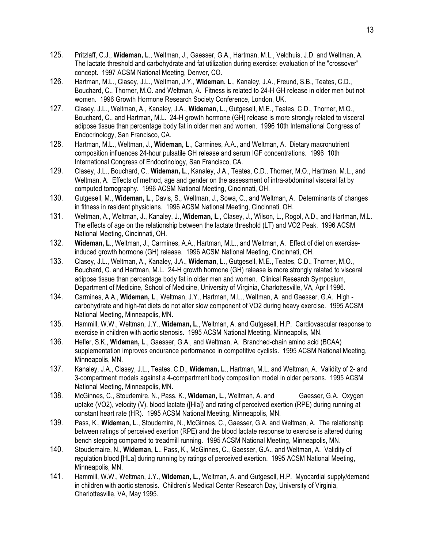- 125. Pritzlaff, C.J., **Wideman, L**., Weltman, J., Gaesser, G.A., Hartman, M.L., Veldhuis, J.D. and Weltman, A. The lactate threshold and carbohydrate and fat utilization during exercise: evaluation of the "crossover" concept. 1997 ACSM National Meeting, Denver, CO.
- 126. Hartman, M.L., Clasey, J.L., Weltman, J.Y., **Wideman, L**., Kanaley, J.A., Freund, S.B., Teates, C.D., Bouchard, C., Thorner, M.O. and Weltman, A. Fitness is related to 24-H GH release in older men but not women. 1996 Growth Hormone Research Society Conference, London, UK.
- 127. Clasey, J.L., Weltman, A., Kanaley, J.A., **Wideman, L**., Gutgesell, M.E., Teates, C.D., Thorner, M.O., Bouchard, C., and Hartman, M.L. 24-H growth hormone (GH) release is more strongly related to visceral adipose tissue than percentage body fat in older men and women. 1996 10th International Congress of Endocrinology, San Francisco, CA.
- 128. Hartman, M.L., Weltman, J., **Wideman, L**., Carmines, A.A., and Weltman, A. Dietary macronutrient composition influences 24-hour pulsatile GH release and serum IGF concentrations. 1996 10th International Congress of Endocrinology, San Francisco, CA.
- 129. Clasey, J.L., Bouchard, C., **Wideman, L**., Kanaley, J.A., Teates, C.D., Thorner, M.O., Hartman, M.L., and Weltman, A. Effects of method, age and gender on the assessment of intra-abdominal visceral fat by computed tomography. 1996 ACSM National Meeting, Cincinnati, OH.
- 130. Gutgesell, M., **Wideman, L**., Davis, S., Weltman, J., Sowa, C., and Weltman, A. Determinants of changes in fitness in resident physicians. 1996 ACSM National Meeting, Cincinnati, OH.
- 131. Weltman, A., Weltman, J., Kanaley, J., **Wideman, L**., Clasey, J., Wilson, L., Rogol, A.D., and Hartman, M.L. The effects of age on the relationship between the lactate threshold (LT) and VO2 Peak. 1996 ACSM National Meeting, Cincinnati, OH.
- 132. **Wideman, L**., Weltman, J., Carmines, A.A., Hartman, M.L., and Weltman, A. Effect of diet on exerciseinduced growth hormone (GH) release. 1996 ACSM National Meeting, Cincinnati, OH.
- 133. Clasey, J.L., Weltman, A., Kanaley, J.A., **Wideman, L.**, Gutgesell, M.E., Teates, C.D., Thorner, M.O., Bouchard, C. and Hartman, M.L. 24-H growth hormone (GH) release is more strongly related to visceral adipose tissue than percentage body fat in older men and women. Clinical Research Symposium, Department of Medicine, School of Medicine, University of Virginia, Charlottesville, VA, April 1996.
- 134. Carmines, A.A., **Wideman, L**., Weltman, J.Y., Hartman, M.L., Weltman, A. and Gaesser, G.A. High carbohydrate and high-fat diets do not alter slow component of VO2 during heavy exercise. 1995 ACSM National Meeting, Minneapolis, MN.
- 135. Hammill, W.W., Weltman, J.Y., **Wideman, L**., Weltman, A. and Gutgesell, H.P. Cardiovascular response to exercise in children with aortic stenosis. 1995 ACSM National Meeting, Minneapolis, MN.
- 136. Hefler, S.K., **Wideman, L**., Gaesser, G.A., and Weltman, A. Branched-chain amino acid (BCAA) supplementation improves endurance performance in competitive cyclists. 1995 ACSM National Meeting, Minneapolis, MN.
- 137. Kanaley, J.A., Clasey, J.L., Teates, C.D., **Wideman, L**., Hartman, M.L. and Weltman, A. Validity of 2- and 3-compartment models against a 4-compartment body composition model in older persons. 1995 ACSM National Meeting, Minneapolis, MN.
- 138. McGinnes, C., Stoudemire, N., Pass, K., Wideman, L., Weltman, A. and Gaesser, G.A. Oxygen uptake (VO2), velocity (V), blood lactate ([Hla]) and rating of perceived exertion (RPE) during running at constant heart rate (HR). 1995 ACSM National Meeting, Minneapolis, MN.
- 139. Pass, K., **Wideman, L**., Stoudemire, N., McGinnes, C., Gaesser, G.A. and Weltman, A. The relationship between ratings of perceived exertion (RPE) and the blood lactate response to exercise is altered during bench stepping compared to treadmill running. 1995 ACSM National Meeting, Minneapolis, MN.
- 140. Stoudemaire, N., **Wideman, L**., Pass, K., McGinnes, C., Gaesser, G.A., and Weltman, A. Validity of regulation blood [HLa] during running by ratings of perceived exertion. 1995 ACSM National Meeting, Minneapolis, MN.
- 141. Hammill, W.W., Weltman, J.Y., **Wideman, L**., Weltman, A. and Gutgesell, H.P. Myocardial supply/demand in children with aortic stenosis. Children's Medical Center Research Day, University of Virginia, Charlottesville, VA, May 1995.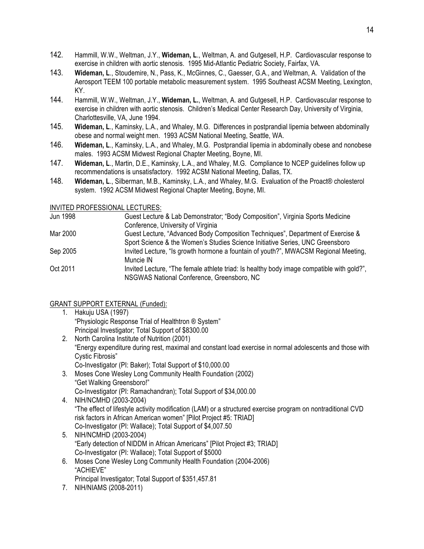- 142. Hammill, W.W., Weltman, J.Y., **Wideman, L**., Weltman, A. and Gutgesell, H.P. Cardiovascular response to exercise in children with aortic stenosis. 1995 Mid-Atlantic Pediatric Society, Fairfax, VA.
- 143. **Wideman, L**., Stoudemire, N., Pass, K., McGinnes, C., Gaesser, G.A., and Weltman, A. Validation of the Aerosport TEEM 100 portable metabolic measurement system. 1995 Southeast ACSM Meeting, Lexington, KY.
- 144. Hammill, W.W., Weltman, J.Y., **Wideman, L.**, Weltman, A. and Gutgesell, H.P. Cardiovascular response to exercise in children with aortic stenosis. Children's Medical Center Research Day, University of Virginia, Charlottesville, VA, June 1994.
- 145. **Wideman, L**., Kaminsky, L.A., and Whaley, M.G. Differences in postprandial lipemia between abdominally obese and normal weight men. 1993 ACSM National Meeting, Seattle, WA.
- 146. **Wideman, L**., Kaminsky, L.A., and Whaley, M.G. Postprandial lipemia in abdominally obese and nonobese males. 1993 ACSM Midwest Regional Chapter Meeting, Boyne, MI.
- 147. **Wideman, L**., Martin, D.E., Kaminsky, L.A., and Whaley, M.G. Compliance to NCEP guidelines follow up recommendations is unsatisfactory. 1992 ACSM National Meeting, Dallas, TX.
- 148. **Wideman, L**., Silberman, M.B., Kaminsky, L.A., and Whaley, M.G. Evaluation of the Proact® cholesterol system. 1992 ACSM Midwest Regional Chapter Meeting, Boyne, MI.

INVITED PROFESSIONAL LECTURES:

| Jun 1998 | Guest Lecture & Lab Demonstrator; "Body Composition", Virginia Sports Medicine            |
|----------|-------------------------------------------------------------------------------------------|
|          | Conference, University of Virginia                                                        |
| Mar 2000 | Guest Lecture, "Advanced Body Composition Techniques", Department of Exercise &           |
|          | Sport Science & the Women's Studies Science Initiative Series, UNC Greensboro             |
| Sep 2005 | Invited Lecture, "Is growth hormone a fountain of youth?", MWACSM Regional Meeting,       |
|          | Muncie IN                                                                                 |
| Oct 2011 | Invited Lecture, "The female athlete triad: Is healthy body image compatible with gold?", |
|          | NSGWAS National Conference, Greensboro, NC                                                |

GRANT SUPPORT EXTERNAL (Funded):

- 1. Hakuju USA (1997) "Physiologic Response Trial of Healthtron ® System" Principal Investigator; Total Support of \$8300.00
- 2. North Carolina Institute of Nutrition (2001) "Energy expenditure during rest, maximal and constant load exercise in normal adolescents and those with Cystic Fibrosis" Co-Investigator (PI: Baker); Total Support of \$10,000.00
- 3. Moses Cone Wesley Long Community Health Foundation (2002) "Get Walking Greensboro!" Co-Investigator (PI: Ramachandran); Total Support of \$34,000.00
- 4. NIH/NCMHD (2003-2004) "The effect of lifestyle activity modification (LAM) or a structured exercise program on nontraditional CVD risk factors in African American women" [Pilot Project #5: TRIAD] Co-Investigator (PI: Wallace); Total Support of \$4,007.50
- 5. NIH/NCMHD (2003-2004) "Early detection of NIDDM in African Americans" [Pilot Project #3; TRIAD] Co-Investigator (PI: Wallace); Total Support of \$5000
- 6. Moses Cone Wesley Long Community Health Foundation (2004-2006) "ACHIEVE" Principal Investigator; Total Support of \$351,457.81
- 7. NIH/NIAMS (2008-2011)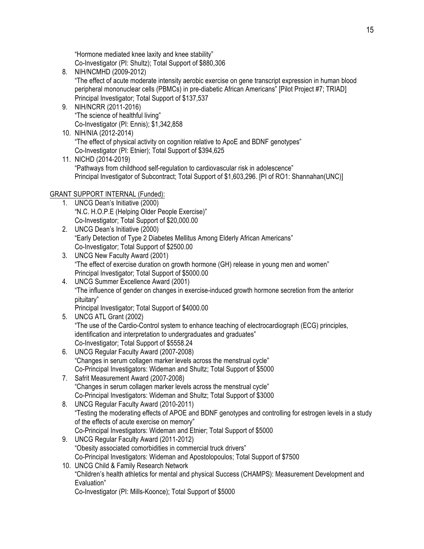"Hormone mediated knee laxity and knee stability" Co-Investigator (PI: Shultz); Total Support of \$880,306

- 8. NIH/NCMHD (2009-2012) "The effect of acute moderate intensity aerobic exercise on gene transcript expression in human blood peripheral mononuclear cells (PBMCs) in pre-diabetic African Americans" [Pilot Project #7; TRIAD] Principal Investigator; Total Support of \$137,537
- 9. NIH/NCRR (2011-2016) "The science of healthful living" Co-Investigator (PI: Ennis); \$1,342,858
- 10. NIH/NIA (2012-2014) "The effect of physical activity on cognition relative to ApoE and BDNF genotypes" Co-Investigator (PI: Etnier); Total Support of \$394,625
- 11. NICHD (2014-2019) "Pathways from childhood self-regulation to cardiovascular risk in adolescence" Principal Investigator of Subcontract; Total Support of \$1,603,296. [PI of RO1: Shannahan(UNC)]

# GRANT SUPPORT INTERNAL (Funded):

- 1. UNCG Dean's Initiative (2000) "N.C. H.O.P.E (Helping Older People Exercise)" Co-Investigator; Total Support of \$20,000.00
- 2. UNCG Dean's Initiative (2000) "Early Detection of Type 2 Diabetes Mellitus Among Elderly African Americans" Co-Investigator; Total Support of \$2500.00
- 3. UNCG New Faculty Award (2001) "The effect of exercise duration on growth hormone (GH) release in young men and women" Principal Investigator; Total Support of \$5000.00
- 4. UNCG Summer Excellence Award (2001) "The influence of gender on changes in exercise-induced growth hormone secretion from the anterior pituitary"

Principal Investigator; Total Support of \$4000.00 5. UNCG ATL Grant (2002)

- "The use of the Cardio-Control system to enhance teaching of electrocardiograph (ECG) principles, identification and interpretation to undergraduates and graduates" Co-Investigator; Total Support of \$5558.24
- 6. UNCG Regular Faculty Award (2007-2008) "Changes in serum collagen marker levels across the menstrual cycle" Co-Principal Investigators: Wideman and Shultz; Total Support of \$5000
- 7. Safrit Measurement Award (2007-2008) "Changes in serum collagen marker levels across the menstrual cycle" Co-Principal Investigators: Wideman and Shultz; Total Support of \$3000
- 8. UNCG Regular Faculty Award (2010-2011) "Testing the moderating effects of APOE and BDNF genotypes and controlling for estrogen levels in a study of the effects of acute exercise on memory" Co-Principal Investigators: Wideman and Etnier; Total Support of \$5000
- 9. UNCG Regular Faculty Award (2011-2012) "Obesity associated comorbidities in commercial truck drivers" Co-Principal Investigators: Wideman and Apostolopoulos; Total Support of \$7500
- 10. UNCG Child & Family Research Network "Children's health athletics for mental and physical Success (CHAMPS): Measurement Development and Evaluation"

Co-Investigator (PI: Mills-Koonce); Total Support of \$5000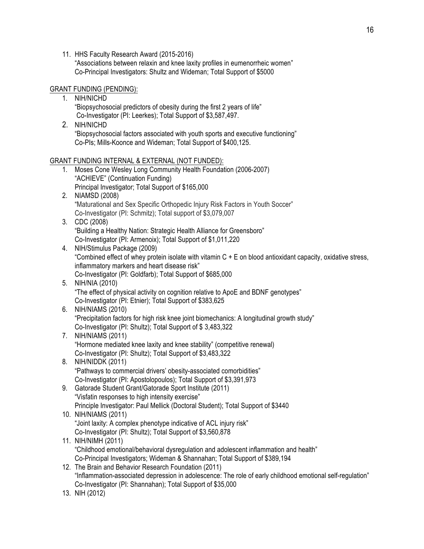11. HHS Faculty Research Award (2015-2016)

"Associations between relaxin and knee laxity profiles in eumenorrheic women" Co-Principal Investigators: Shultz and Wideman; Total Support of \$5000

### GRANT FUNDING (PENDING):

- 1. NIH/NICHD "Biopsychosocial predictors of obesity during the first 2 years of life" Co-Investigator (PI: Leerkes); Total Support of \$3,587,497.
- 2. NIH/NICHD "Biopsychosocial factors associated with youth sports and executive functioning" Co-PIs; Mills-Koonce and Wideman; Total Support of \$400,125.

### GRANT FUNDING INTERNAL & EXTERNAL (NOT FUNDED):

- 1. Moses Cone Wesley Long Community Health Foundation (2006-2007) "ACHIEVE" (Continuation Funding) Principal Investigator; Total Support of \$165,000
- 2. NIAMSD (2008) "Maturational and Sex Specific Orthopedic Injury Risk Factors in Youth Soccer" Co-Investigator (PI: Schmitz); Total support of \$3,079,007
- 3. CDC (2008) "Building a Healthy Nation: Strategic Health Alliance for Greensboro" Co-Investigator (PI: Armenoix); Total Support of \$1,011,220
- 4. NIH/Stimulus Package (2009) "Combined effect of whey protein isolate with vitamin C + E on blood antioxidant capacity, oxidative stress, inflammatory markers and heart disease risk"

Co-Investigator (PI: Goldfarb); Total Support of \$685,000

- 5. NIH/NIA (2010) "The effect of physical activity on cognition relative to ApoE and BDNF genotypes" Co-Investigator (PI: Etnier); Total Support of \$383,625
- 6. NIH/NIAMS (2010) "Precipitation factors for high risk knee joint biomechanics: A longitudinal growth study" Co-Investigator (PI: Shultz); Total Support of \$ 3,483,322
- 7. NIH/NIAMS (2011) "Hormone mediated knee laxity and knee stability" (competitive renewal) Co-Investigator (PI: Shultz); Total Support of \$3,483,322
- 8. NIH/NIDDK (2011) "Pathways to commercial drivers' obesity-associated comorbidities" Co-Investigator (PI: Apostolopoulos); Total Support of \$3,391,973
- 9. Gatorade Student Grant/Gatorade Sport Institute (2011) "Visfatin responses to high intensity exercise" Principle Investigator: Paul Mellick (Doctoral Student); Total Support of \$3440
- 10. NIH/NIAMS (2011) "Joint laxity: A complex phenotype indicative of ACL injury risk" Co-Investigator (PI: Shultz); Total Support of \$3,560,878
- 11. NIH/NIMH (2011) "Childhood emotional/behavioral dysregulation and adolescent inflammation and health" Co-Principal Investigators; Wideman & Shannahan; Total Support of \$389,194
- 12. The Brain and Behavior Research Foundation (2011) "Inflammation-associated depression in adolescence: The role of early childhood emotional self-regulation" Co-Investigator (PI: Shannahan); Total Support of \$35,000
- 13. NIH (2012)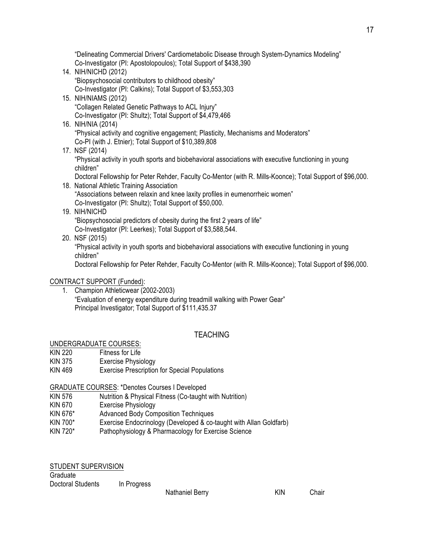"Delineating Commercial Drivers' Cardiometabolic Disease through System-Dynamics Modeling" Co-Investigator (PI: Apostolopoulos); Total Support of \$438,390

- 14. NIH/NICHD (2012) "Biopsychosocial contributors to childhood obesity" Co-Investigator (PI: Calkins); Total Support of \$3,553,303
- 15. NIH/NIAMS (2012) "Collagen Related Genetic Pathways to ACL Injury" Co-Investigator (PI: Shultz); Total Support of \$4,479,466
- 16. NIH/NIA (2014) "Physical activity and cognitive engagement; Plasticity, Mechanisms and Moderators" Co-PI (with J. Etnier); Total Support of \$10,389,808

# 17. NSF (2014)

"Physical activity in youth sports and biobehavioral associations with executive functioning in young children"

Doctoral Fellowship for Peter Rehder, Faculty Co-Mentor (with R. Mills-Koonce); Total Support of \$96,000.

18. National Athletic Training Association "Associations between relaxin and knee laxity profiles in eumenorrheic women" Co-Investigator (PI: Shultz); Total Support of \$50,000.

### 19. NIH/NICHD

"Biopsychosocial predictors of obesity during the first 2 years of life"

Co-Investigator (PI: Leerkes); Total Support of \$3,588,544.

20. NSF (2015) "Physical activity in youth sports and biobehavioral associations with executive functioning in young children"

Doctoral Fellowship for Peter Rehder, Faculty Co-Mentor (with R. Mills-Koonce); Total Support of \$96,000.

### CONTRACT SUPPORT (Funded):

1. Champion Athleticwear (2002-2003) "Evaluation of energy expenditure during treadmill walking with Power Gear" Principal Investigator; Total Support of \$111,435.37

# **TFACHING**

### UNDERGRADUATE COURSES:

- KIN 220 Fitness for Life
- KIN 375 Exercise Physiology
- KIN 469 Exercise Prescription for Special Populations

### GRADUATE COURSES: \*Denotes Courses I Developed

- KIN 576 Nutrition & Physical Fitness (Co-taught with Nutrition)
- KIN 670 Exercise Physiology
- KIN 676\* Advanced Body Composition Techniques
- KIN 700\* Exercise Endocrinology (Developed & co-taught with Allan Goldfarb)
- KIN 720\* Pathophysiology & Pharmacology for Exercise Science

| <b>STUDENT SUPERVISION</b> |             |  |
|----------------------------|-------------|--|
| Graduate                   |             |  |
| <b>Doctoral Students</b>   | In Progress |  |

Nathaniel Berry KIN Chair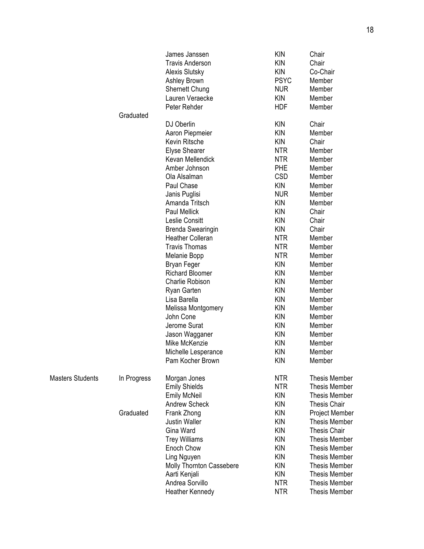|                         |             | James Janssen            | <b>KIN</b>  | Chair                |
|-------------------------|-------------|--------------------------|-------------|----------------------|
|                         |             | <b>Travis Anderson</b>   | <b>KIN</b>  | Chair                |
|                         |             | <b>Alexis Slutsky</b>    | <b>KIN</b>  | Co-Chair             |
|                         |             | Ashley Brown             | <b>PSYC</b> | Member               |
|                         |             | <b>Shernett Chung</b>    | <b>NUR</b>  | Member               |
|                         |             | Lauren Veraecke          | <b>KIN</b>  | Member               |
|                         |             | Peter Rehder             | <b>HDF</b>  | Member               |
|                         | Graduated   |                          |             |                      |
|                         |             | DJ Oberlin               | <b>KIN</b>  | Chair                |
|                         |             | Aaron Piepmeier          | <b>KIN</b>  | Member               |
|                         |             | Kevin Ritsche            | <b>KIN</b>  | Chair                |
|                         |             | Elyse Shearer            | <b>NTR</b>  | Member               |
|                         |             | Kevan Mellendick         | <b>NTR</b>  | Member               |
|                         |             | Amber Johnson            | PHE         | Member               |
|                         |             | Ola Alsalman             | <b>CSD</b>  | Member               |
|                         |             | Paul Chase               | <b>KIN</b>  | Member               |
|                         |             | Janis Puglisi            | <b>NUR</b>  | Member               |
|                         |             | Amanda Tritsch           | <b>KIN</b>  | Member               |
|                         |             | <b>Paul Mellick</b>      | <b>KIN</b>  | Chair                |
|                         |             | Leslie Consitt           | <b>KIN</b>  | Chair                |
|                         |             | <b>Brenda Swearingin</b> | <b>KIN</b>  | Chair                |
|                         |             | <b>Heather Colleran</b>  | <b>NTR</b>  | Member               |
|                         |             | <b>Travis Thomas</b>     | <b>NTR</b>  | Member               |
|                         |             | Melanie Bopp             | <b>NTR</b>  | Member               |
|                         |             | Bryan Feger              | <b>KIN</b>  | Member               |
|                         |             | <b>Richard Bloomer</b>   | <b>KIN</b>  | Member               |
|                         |             | Charlie Robison          | <b>KIN</b>  | Member               |
|                         |             | Ryan Garten              | <b>KIN</b>  | Member               |
|                         |             | Lisa Barella             | <b>KIN</b>  | Member               |
|                         |             | Melissa Montgomery       | <b>KIN</b>  | Member               |
|                         |             | John Cone                | <b>KIN</b>  | Member               |
|                         |             | Jerome Surat             | <b>KIN</b>  | Member               |
|                         |             | Jason Wagganer           | <b>KIN</b>  | Member               |
|                         |             | Mike McKenzie            | <b>KIN</b>  | Member               |
|                         |             | Michelle Lesperance      | <b>KIN</b>  | Member               |
|                         |             | Pam Kocher Brown         | <b>KIN</b>  | Member               |
|                         |             |                          |             |                      |
| <b>Masters Students</b> | In Progress | Morgan Jones             | <b>NTR</b>  | <b>Thesis Member</b> |
|                         |             | <b>Emily Shields</b>     | <b>NTR</b>  | <b>Thesis Member</b> |
|                         |             | <b>Emily McNeil</b>      | <b>KIN</b>  | <b>Thesis Member</b> |
|                         |             | <b>Andrew Scheck</b>     | <b>KIN</b>  | <b>Thesis Chair</b>  |
|                         | Graduated   | Frank Zhong              | <b>KIN</b>  | Project Member       |
|                         |             | <b>Justin Waller</b>     | <b>KIN</b>  | <b>Thesis Member</b> |
|                         |             | Gina Ward                | <b>KIN</b>  | <b>Thesis Chair</b>  |
|                         |             | <b>Trey Williams</b>     | <b>KIN</b>  | <b>Thesis Member</b> |
|                         |             | Enoch Chow               | <b>KIN</b>  | <b>Thesis Member</b> |
|                         |             | Ling Nguyen              | <b>KIN</b>  | <b>Thesis Member</b> |
|                         |             | Molly Thornton Cassebere | <b>KIN</b>  | <b>Thesis Member</b> |
|                         |             | Aarti Kenjali            | <b>KIN</b>  | <b>Thesis Member</b> |
|                         |             | Andrea Sorvillo          | <b>NTR</b>  | <b>Thesis Member</b> |
|                         |             | Heather Kennedy          | <b>NTR</b>  | <b>Thesis Member</b> |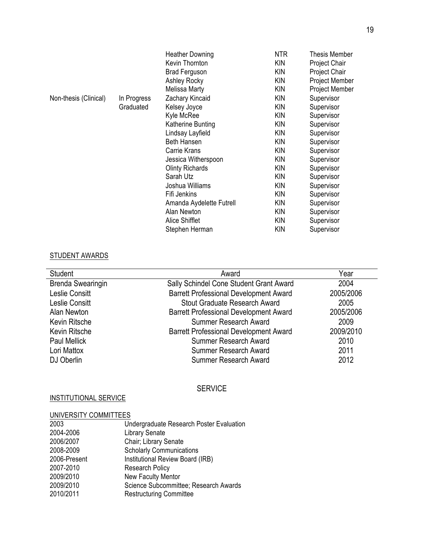|                       |             | <b>Heather Downing</b>   | <b>NTR</b> | <b>Thesis Member</b> |
|-----------------------|-------------|--------------------------|------------|----------------------|
|                       |             | Kevin Thornton           | <b>KIN</b> | Project Chair        |
|                       |             | <b>Brad Ferguson</b>     | <b>KIN</b> | Project Chair        |
|                       |             | <b>Ashley Rocky</b>      | <b>KIN</b> | Project Member       |
|                       |             | <b>Melissa Marty</b>     | <b>KIN</b> | Project Member       |
| Non-thesis (Clinical) | In Progress | Zachary Kincaid          | <b>KIN</b> | Supervisor           |
|                       | Graduated   | Kelsey Joyce             | <b>KIN</b> | Supervisor           |
|                       |             | Kyle McRee               | <b>KIN</b> | Supervisor           |
|                       |             | Katherine Bunting        | <b>KIN</b> | Supervisor           |
|                       |             | Lindsay Layfield         | <b>KIN</b> | Supervisor           |
|                       |             | <b>Beth Hansen</b>       | <b>KIN</b> | Supervisor           |
|                       |             | Carrie Krans             | <b>KIN</b> | Supervisor           |
|                       |             | Jessica Witherspoon      | <b>KIN</b> | Supervisor           |
|                       |             | <b>Olinty Richards</b>   | <b>KIN</b> | Supervisor           |
|                       |             | Sarah Utz                | <b>KIN</b> | Supervisor           |
|                       |             | Joshua Williams          | <b>KIN</b> | Supervisor           |
|                       |             | Fifi Jenkins             | <b>KIN</b> | Supervisor           |
|                       |             | Amanda Aydelette Futrell | <b>KIN</b> | Supervisor           |
|                       |             | Alan Newton              | <b>KIN</b> | Supervisor           |
|                       |             | Alice Shifflet           | <b>KIN</b> | Supervisor           |
|                       |             | Stephen Herman           | <b>KIN</b> | Supervisor           |

# STUDENT AWARDS

| Student                  | Award                                         | Year      |
|--------------------------|-----------------------------------------------|-----------|
| <b>Brenda Swearingin</b> | Sally Schindel Cone Student Grant Award       | 2004      |
| <b>Leslie Consitt</b>    | <b>Barrett Professional Development Award</b> | 2005/2006 |
| Leslie Consitt           | Stout Graduate Research Award                 | 2005      |
| Alan Newton              | <b>Barrett Professional Development Award</b> | 2005/2006 |
| Kevin Ritsche            | Summer Research Award                         | 2009      |
| Kevin Ritsche            | <b>Barrett Professional Development Award</b> | 2009/2010 |
| <b>Paul Mellick</b>      | Summer Research Award                         | 2010      |
| Lori Mattox              | Summer Research Award                         | 2011      |
| DJ Oberlin               | Summer Research Award                         | 2012      |

# SERVICE

# INSTITUTIONAL SERVICE

# UNIVERSITY COMMITTEES

| 2003         | Undergraduate Research Poster Evaluation |
|--------------|------------------------------------------|
| 2004-2006    | <b>Library Senate</b>                    |
| 2006/2007    | Chair; Library Senate                    |
| 2008-2009    | <b>Scholarly Communications</b>          |
| 2006-Present | Institutional Review Board (IRB)         |
| 2007-2010    | <b>Research Policy</b>                   |
| 2009/2010    | New Faculty Mentor                       |
| 2009/2010    | Science Subcommittee; Research Awards    |
| 2010/2011    | <b>Restructuring Committee</b>           |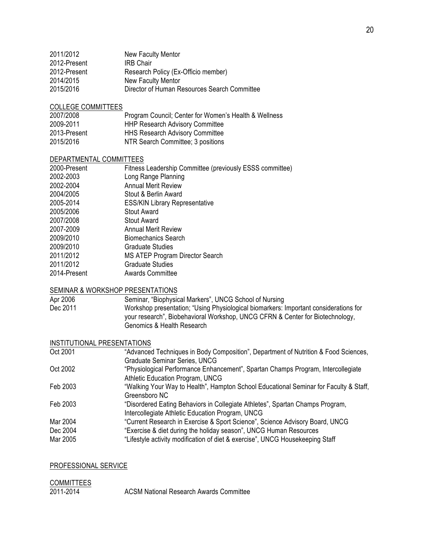| Director of Human Resources Search Committee |
|----------------------------------------------|
|                                              |

#### COLLEGE COMMITTEES

| 2007/2008    | Program Council; Center for Women's Health & Wellness |
|--------------|-------------------------------------------------------|
| 2009-2011    | <b>HHP Research Advisory Committee</b>                |
| 2013-Present | <b>HHS Research Advisory Committee</b>                |
| 2015/2016    | NTR Search Committee; 3 positions                     |

### DEPARTMENTAL COMMITTEES

| 2000-Present | Fitness Leadership Committee (previously ESSS committee) |
|--------------|----------------------------------------------------------|
| 2002-2003    | Long Range Planning                                      |
| 2002-2004    | <b>Annual Merit Review</b>                               |
| 2004/2005    | Stout & Berlin Award                                     |
| 2005-2014    | <b>ESS/KIN Library Representative</b>                    |
| 2005/2006    | <b>Stout Award</b>                                       |
| 2007/2008    | <b>Stout Award</b>                                       |
| 2007-2009    | <b>Annual Merit Review</b>                               |
| 2009/2010    | <b>Biomechanics Search</b>                               |
| 2009/2010    | <b>Graduate Studies</b>                                  |
| 2011/2012    | MS ATEP Program Director Search                          |
| 2011/2012    | <b>Graduate Studies</b>                                  |
| 2014-Present | <b>Awards Committee</b>                                  |
|              |                                                          |

### SEMINAR & WORKSHOP PRESENTATIONS

| Apr 2006 | Seminar, "Biophysical Markers", UNCG School of Nursing                               |
|----------|--------------------------------------------------------------------------------------|
| Dec 2011 | Workshop presentation; "Using Physiological biomarkers: Important considerations for |
|          | your research", Biobehavioral Workshop, UNCG CFRN & Center for Biotechnology,        |
|          | Genomics & Health Research                                                           |

### INSTITUTIONAL PRESENTATIONS

| "Advanced Techniques in Body Composition", Department of Nutrition & Food Sciences,   |
|---------------------------------------------------------------------------------------|
| <b>Graduate Seminar Series, UNCG</b>                                                  |
| "Physiological Performance Enhancement", Spartan Champs Program, Intercollegiate      |
| Athletic Education Program, UNCG                                                      |
| "Walking Your Way to Health", Hampton School Educational Seminar for Faculty & Staff, |
| Greensboro NC                                                                         |
| "Disordered Eating Behaviors in Collegiate Athletes", Spartan Champs Program,         |
| Intercollegiate Athletic Education Program, UNCG                                      |
| "Current Research in Exercise & Sport Science", Science Advisory Board, UNCG          |
| "Exercise & diet during the holiday season", UNCG Human Resources                     |
| "Lifestyle activity modification of diet & exercise", UNCG Housekeeping Staff         |
|                                                                                       |

### PROFESSIONAL SERVICE

# COMMITTEES

2011-2014 ACSM National Research Awards Committee